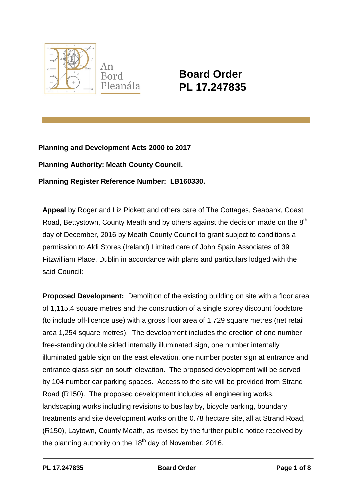

# **Board Order PL 17.247835**

**Planning and Development Acts 2000 to 2017 Planning Authority: Meath County Council. Planning Register Reference Number: LB160330.**

**Appeal** by Roger and Liz Pickett and others care of The Cottages, Seabank, Coast Road, Bettystown, County Meath and by others against the decision made on the  $8<sup>th</sup>$ day of December, 2016 by Meath County Council to grant subject to conditions a permission to Aldi Stores (Ireland) Limited care of John Spain Associates of 39 Fitzwilliam Place, Dublin in accordance with plans and particulars lodged with the said Council:

**Proposed Development:** Demolition of the existing building on site with a floor area of 1,115.4 square metres and the construction of a single storey discount foodstore (to include off-licence use) with a gross floor area of 1,729 square metres (net retail area 1,254 square metres). The development includes the erection of one number free-standing double sided internally illuminated sign, one number internally illuminated gable sign on the east elevation, one number poster sign at entrance and entrance glass sign on south elevation. The proposed development will be served by 104 number car parking spaces. Access to the site will be provided from Strand Road (R150). The proposed development includes all engineering works, landscaping works including revisions to bus lay by, bicycle parking, boundary treatments and site development works on the 0.78 hectare site, all at Strand Road, (R150), Laytown, County Meath, as revised by the further public notice received by the planning authority on the  $18<sup>th</sup>$  day of November, 2016.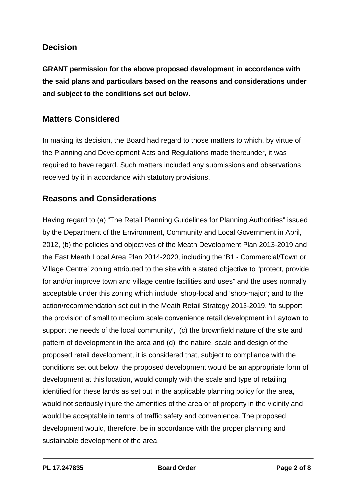### **Decision**

**GRANT permission for the above proposed development in accordance with the said plans and particulars based on the reasons and considerations under and subject to the conditions set out below.**

### **Matters Considered**

In making its decision, the Board had regard to those matters to which, by virtue of the Planning and Development Acts and Regulations made thereunder, it was required to have regard. Such matters included any submissions and observations received by it in accordance with statutory provisions.

#### **Reasons and Considerations**

Having regard to (a) "The Retail Planning Guidelines for Planning Authorities" issued by the Department of the Environment, Community and Local Government in April, 2012, (b) the policies and objectives of the Meath Development Plan 2013-2019 and the East Meath Local Area Plan 2014-2020, including the 'B1 - Commercial/Town or Village Centre' zoning attributed to the site with a stated objective to "protect, provide for and/or improve town and village centre facilities and uses" and the uses normally acceptable under this zoning which include 'shop-local and 'shop-major'; and to the action/recommendation set out in the Meath Retail Strategy 2013-2019, 'to support the provision of small to medium scale convenience retail development in Laytown to support the needs of the local community', (c) the brownfield nature of the site and pattern of development in the area and (d) the nature, scale and design of the proposed retail development, it is considered that, subject to compliance with the conditions set out below, the proposed development would be an appropriate form of development at this location, would comply with the scale and type of retailing identified for these lands as set out in the applicable planning policy for the area, would not seriously injure the amenities of the area or of property in the vicinity and would be acceptable in terms of traffic safety and convenience. The proposed development would, therefore, be in accordance with the proper planning and sustainable development of the area.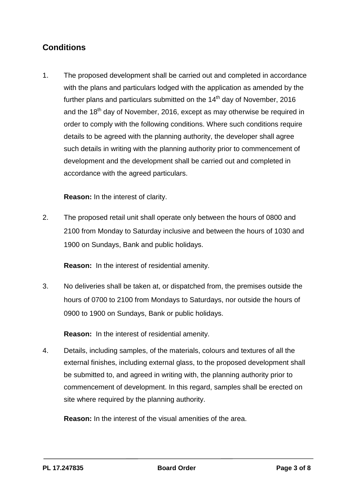## **Conditions**

1. The proposed development shall be carried out and completed in accordance with the plans and particulars lodged with the application as amended by the further plans and particulars submitted on the  $14<sup>th</sup>$  day of November, 2016 and the  $18<sup>th</sup>$  day of November, 2016, except as may otherwise be required in order to comply with the following conditions. Where such conditions require details to be agreed with the planning authority, the developer shall agree such details in writing with the planning authority prior to commencement of development and the development shall be carried out and completed in accordance with the agreed particulars.

**Reason:** In the interest of clarity.

2. The proposed retail unit shall operate only between the hours of 0800 and 2100 from Monday to Saturday inclusive and between the hours of 1030 and 1900 on Sundays, Bank and public holidays.

**Reason:** In the interest of residential amenity.

3. No deliveries shall be taken at, or dispatched from, the premises outside the hours of 0700 to 2100 from Mondays to Saturdays, nor outside the hours of 0900 to 1900 on Sundays, Bank or public holidays.

**Reason:** In the interest of residential amenity.

4. Details, including samples, of the materials, colours and textures of all the external finishes, including external glass, to the proposed development shall be submitted to, and agreed in writing with, the planning authority prior to commencement of development. In this regard, samples shall be erected on site where required by the planning authority.

**Reason:** In the interest of the visual amenities of the area.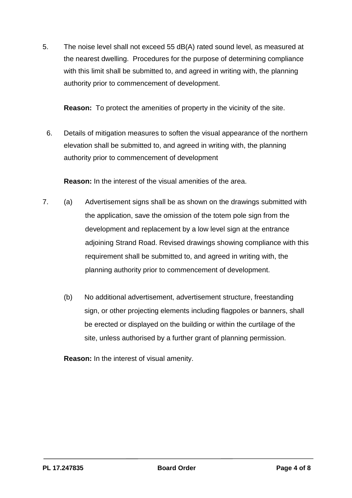5. The noise level shall not exceed 55 dB(A) rated sound level, as measured at the nearest dwelling. Procedures for the purpose of determining compliance with this limit shall be submitted to, and agreed in writing with, the planning authority prior to commencement of development.

**Reason:** To protect the amenities of property in the vicinity of the site.

6. Details of mitigation measures to soften the visual appearance of the northern elevation shall be submitted to, and agreed in writing with, the planning authority prior to commencement of development

**Reason:** In the interest of the visual amenities of the area.

- 7. (a) Advertisement signs shall be as shown on the drawings submitted with the application, save the omission of the totem pole sign from the development and replacement by a low level sign at the entrance adjoining Strand Road. Revised drawings showing compliance with this requirement shall be submitted to, and agreed in writing with, the planning authority prior to commencement of development.
	- (b) No additional advertisement, advertisement structure, freestanding sign, or other projecting elements including flagpoles or banners, shall be erected or displayed on the building or within the curtilage of the site, unless authorised by a further grant of planning permission.

**Reason:** In the interest of visual amenity.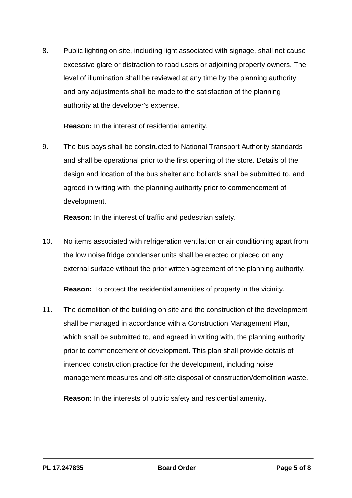8. Public lighting on site, including light associated with signage, shall not cause excessive glare or distraction to road users or adjoining property owners. The level of illumination shall be reviewed at any time by the planning authority and any adjustments shall be made to the satisfaction of the planning authority at the developer's expense.

**Reason:** In the interest of residential amenity.

9. The bus bays shall be constructed to National Transport Authority standards and shall be operational prior to the first opening of the store. Details of the design and location of the bus shelter and bollards shall be submitted to, and agreed in writing with, the planning authority prior to commencement of development.

**Reason:** In the interest of traffic and pedestrian safety.

10. No items associated with refrigeration ventilation or air conditioning apart from the low noise fridge condenser units shall be erected or placed on any external surface without the prior written agreement of the planning authority.

**Reason:** To protect the residential amenities of property in the vicinity.

11. The demolition of the building on site and the construction of the development shall be managed in accordance with a Construction Management Plan, which shall be submitted to, and agreed in writing with, the planning authority prior to commencement of development. This plan shall provide details of intended construction practice for the development, including noise management measures and off-site disposal of construction/demolition waste.

**Reason:** In the interests of public safety and residential amenity.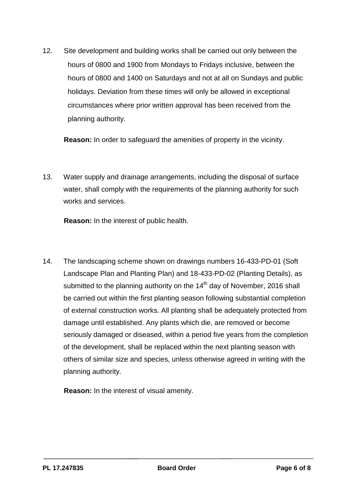12. Site development and building works shall be carried out only between the hours of 0800 and 1900 from Mondays to Fridays inclusive, between the hours of 0800 and 1400 on Saturdays and not at all on Sundays and public holidays. Deviation from these times will only be allowed in exceptional circumstances where prior written approval has been received from the planning authority.

**Reason:** In order to safeguard the amenities of property in the vicinity.

13. Water supply and drainage arrangements, including the disposal of surface water, shall comply with the requirements of the planning authority for such works and services.

**Reason:** In the interest of public health.

14. The landscaping scheme shown on drawings numbers 16-433-PD-01 (Soft Landscape Plan and Planting Plan) and 18-433-PD-02 (Planting Details), as submitted to the planning authority on the 14<sup>th</sup> day of November, 2016 shall be carried out within the first planting season following substantial completion of external construction works. All planting shall be adequately protected from damage until established. Any plants which die, are removed or become seriously damaged or diseased, within a period five years from the completion of the development, shall be replaced within the next planting season with others of similar size and species, unless otherwise agreed in writing with the planning authority.

**Reason:** In the interest of visual amenity.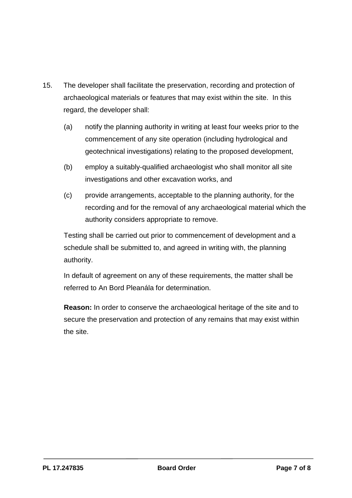- 15. The developer shall facilitate the preservation, recording and protection of archaeological materials or features that may exist within the site. In this regard, the developer shall:
	- (a) notify the planning authority in writing at least four weeks prior to the commencement of any site operation (including hydrological and geotechnical investigations) relating to the proposed development,
	- (b) employ a suitably-qualified archaeologist who shall monitor all site investigations and other excavation works, and
	- (c) provide arrangements, acceptable to the planning authority, for the recording and for the removal of any archaeological material which the authority considers appropriate to remove.

Testing shall be carried out prior to commencement of development and a schedule shall be submitted to, and agreed in writing with, the planning authority.

In default of agreement on any of these requirements, the matter shall be referred to An Bord Pleanála for determination.

**Reason:** In order to conserve the archaeological heritage of the site and to secure the preservation and protection of any remains that may exist within the site.